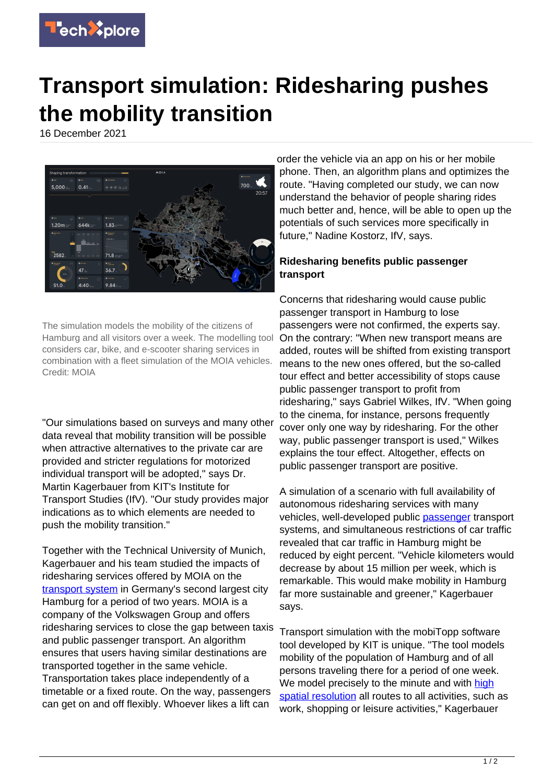

## **Transport simulation: Ridesharing pushes the mobility transition**

16 December 2021



The simulation models the mobility of the citizens of Hamburg and all visitors over a week. The modelling tool considers car, bike, and e-scooter sharing services in combination with a fleet simulation of the MOIA vehicles. Credit: MOIA

"Our simulations based on surveys and many other data reveal that mobility transition will be possible when attractive alternatives to the private car are provided and stricter regulations for motorized individual transport will be adopted," says Dr. Martin Kagerbauer from KIT's Institute for Transport Studies (IfV). "Our study provides major indications as to which elements are needed to push the mobility transition."

Together with the Technical University of Munich, Kagerbauer and his team studied the impacts of ridesharing services offered by MOIA on the [transport system](https://techxplore.com/tags/transport+system/) in Germany's second largest city Hamburg for a period of two years. MOIA is a company of the Volkswagen Group and offers ridesharing services to close the gap between taxis and public passenger transport. An algorithm ensures that users having similar destinations are transported together in the same vehicle. Transportation takes place independently of a timetable or a fixed route. On the way, passengers can get on and off flexibly. Whoever likes a lift can

order the vehicle via an app on his or her mobile phone. Then, an algorithm plans and optimizes the route. "Having completed our study, we can now understand the behavior of people sharing rides much better and, hence, will be able to open up the potentials of such services more specifically in future," Nadine Kostorz, IfV, says.

## **Ridesharing benefits public passenger transport**

Concerns that ridesharing would cause public passenger transport in Hamburg to lose passengers were not confirmed, the experts say. On the contrary: "When new transport means are added, routes will be shifted from existing transport means to the new ones offered, but the so-called tour effect and better accessibility of stops cause public passenger transport to profit from ridesharing," says Gabriel Wilkes, IfV. "When going to the cinema, for instance, persons frequently cover only one way by ridesharing. For the other way, public passenger transport is used," Wilkes explains the tour effect. Altogether, effects on public passenger transport are positive.

A simulation of a scenario with full availability of autonomous ridesharing services with many vehicles, well-developed public [passenger](https://techxplore.com/tags/passenger/) transport systems, and simultaneous restrictions of car traffic revealed that car traffic in Hamburg might be reduced by eight percent. "Vehicle kilometers would decrease by about 15 million per week, which is remarkable. This would make mobility in Hamburg far more sustainable and greener," Kagerbauer says.

Transport simulation with the mobiTopp software tool developed by KIT is unique. "The tool models mobility of the population of Hamburg and of all persons traveling there for a period of one week. We model precisely to the minute and with [high](https://techxplore.com/tags/high+spatial+resolution/) [spatial resolution](https://techxplore.com/tags/high+spatial+resolution/) all routes to all activities, such as work, shopping or leisure activities," Kagerbauer